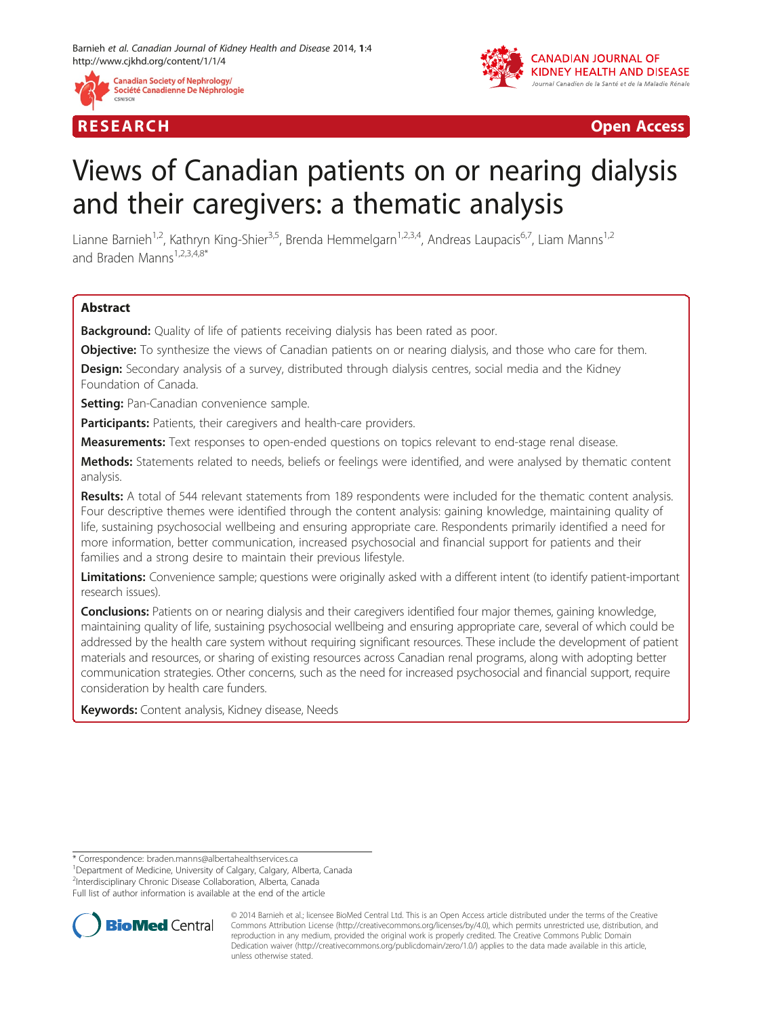



R E S EAR CH Open Access

# Views of Canadian patients on or nearing dialysis and their caregivers: a thematic analysis

Lianne Barnieh<sup>1,2</sup>, Kathryn King-Shier<sup>3,5</sup>, Brenda Hemmelgarn<sup>1,2,3,4</sup>, Andreas Laupacis<sup>6,7</sup>, Liam Manns<sup>1,2</sup> and Braden Manns<sup>1,2,3,4,8\*</sup>

# Abstract

**Background:** Quality of life of patients receiving dialysis has been rated as poor.

Objective: To synthesize the views of Canadian patients on or nearing dialysis, and those who care for them.

Design: Secondary analysis of a survey, distributed through dialysis centres, social media and the Kidney Foundation of Canada.

**Setting:** Pan-Canadian convenience sample.

Participants: Patients, their caregivers and health-care providers.

**Measurements:** Text responses to open-ended questions on topics relevant to end-stage renal disease.

Methods: Statements related to needs, beliefs or feelings were identified, and were analysed by thematic content analysis.

Results: A total of 544 relevant statements from 189 respondents were included for the thematic content analysis. Four descriptive themes were identified through the content analysis: gaining knowledge, maintaining quality of life, sustaining psychosocial wellbeing and ensuring appropriate care. Respondents primarily identified a need for more information, better communication, increased psychosocial and financial support for patients and their families and a strong desire to maintain their previous lifestyle.

Limitations: Convenience sample; questions were originally asked with a different intent (to identify patient-important research issues).

Conclusions: Patients on or nearing dialysis and their caregivers identified four major themes, gaining knowledge, maintaining quality of life, sustaining psychosocial wellbeing and ensuring appropriate care, several of which could be addressed by the health care system without requiring significant resources. These include the development of patient materials and resources, or sharing of existing resources across Canadian renal programs, along with adopting better communication strategies. Other concerns, such as the need for increased psychosocial and financial support, require consideration by health care funders.

Keywords: Content analysis, Kidney disease, Needs

Full list of author information is available at the end of the article



© 2014 Barnieh et al.; licensee BioMed Central Ltd. This is an Open Access article distributed under the terms of the Creative Commons Attribution License [\(http://creativecommons.org/licenses/by/4.0\)](http://creativecommons.org/licenses/by/4.0), which permits unrestricted use, distribution, and reproduction in any medium, provided the original work is properly credited. The Creative Commons Public Domain Dedication waiver [\(http://creativecommons.org/publicdomain/zero/1.0/](http://creativecommons.org/publicdomain/zero/1.0/)) applies to the data made available in this article, unless otherwise stated.

<sup>\*</sup> Correspondence: [braden.manns@albertahealthservices.ca](mailto:braden.manns@albertahealthservices.ca) <sup>1</sup>

<sup>&</sup>lt;sup>1</sup>Department of Medicine, University of Calgary, Calgary, Alberta, Canada 2 Interdisciplinary Chronic Disease Collaboration, Alberta, Canada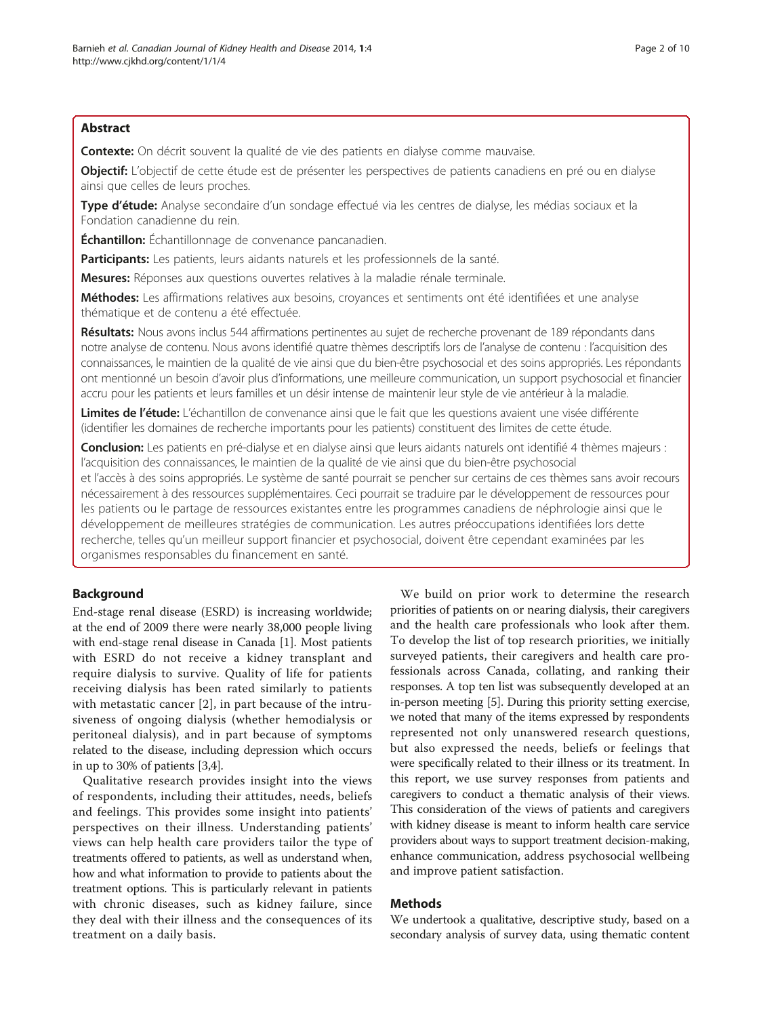# Abstract

Contexte: On décrit souvent la qualité de vie des patients en dialyse comme mauvaise.

Objectif: L'objectif de cette étude est de présenter les perspectives de patients canadiens en pré ou en dialyse ainsi que celles de leurs proches.

Type d'étude: Analyse secondaire d'un sondage effectué via les centres de dialyse, les médias sociaux et la Fondation canadienne du rein.

**Échantillon:** Échantillonnage de convenance pancanadien.

Participants: Les patients, leurs aidants naturels et les professionnels de la santé.

Mesures: Réponses aux questions ouvertes relatives à la maladie rénale terminale.

Méthodes: Les affirmations relatives aux besoins, croyances et sentiments ont été identifiées et une analyse thématique et de contenu a été effectuée.

Résultats: Nous avons inclus 544 affirmations pertinentes au sujet de recherche provenant de 189 répondants dans notre analyse de contenu. Nous avons identifié quatre thèmes descriptifs lors de l'analyse de contenu : l'acquisition des connaissances, le maintien de la qualité de vie ainsi que du bien-être psychosocial et des soins appropriés. Les répondants ont mentionné un besoin d'avoir plus d'informations, une meilleure communication, un support psychosocial et financier accru pour les patients et leurs familles et un désir intense de maintenir leur style de vie antérieur à la maladie.

Limites de l'étude: L'échantillon de convenance ainsi que le fait que les questions avaient une visée différente (identifier les domaines de recherche importants pour les patients) constituent des limites de cette étude.

Conclusion: Les patients en pré-dialyse et en dialyse ainsi que leurs aidants naturels ont identifié 4 thèmes majeurs : l'acquisition des connaissances, le maintien de la qualité de vie ainsi que du bien-être psychosocial et l'accès à des soins appropriés. Le système de santé pourrait se pencher sur certains de ces thèmes sans avoir recours nécessairement à des ressources supplémentaires. Ceci pourrait se traduire par le développement de ressources pour les patients ou le partage de ressources existantes entre les programmes canadiens de néphrologie ainsi que le développement de meilleures stratégies de communication. Les autres préoccupations identifiées lors dette recherche, telles qu'un meilleur support financier et psychosocial, doivent être cependant examinées par les organismes responsables du financement en santé.

# Background

End-stage renal disease (ESRD) is increasing worldwide; at the end of 2009 there were nearly 38,000 people living with end-stage renal disease in Canada [\[1](#page-8-0)]. Most patients with ESRD do not receive a kidney transplant and require dialysis to survive. Quality of life for patients receiving dialysis has been rated similarly to patients with metastatic cancer [\[2](#page-8-0)], in part because of the intrusiveness of ongoing dialysis (whether hemodialysis or peritoneal dialysis), and in part because of symptoms related to the disease, including depression which occurs in up to 30% of patients [[3,4](#page-8-0)].

Qualitative research provides insight into the views of respondents, including their attitudes, needs, beliefs and feelings. This provides some insight into patients' perspectives on their illness. Understanding patients' views can help health care providers tailor the type of treatments offered to patients, as well as understand when, how and what information to provide to patients about the treatment options. This is particularly relevant in patients with chronic diseases, such as kidney failure, since they deal with their illness and the consequences of its treatment on a daily basis.

We build on prior work to determine the research priorities of patients on or nearing dialysis, their caregivers and the health care professionals who look after them. To develop the list of top research priorities, we initially surveyed patients, their caregivers and health care professionals across Canada, collating, and ranking their responses. A top ten list was subsequently developed at an in-person meeting [\[5](#page-8-0)]. During this priority setting exercise, we noted that many of the items expressed by respondents represented not only unanswered research questions, but also expressed the needs, beliefs or feelings that were specifically related to their illness or its treatment. In this report, we use survey responses from patients and caregivers to conduct a thematic analysis of their views. This consideration of the views of patients and caregivers with kidney disease is meant to inform health care service providers about ways to support treatment decision-making, enhance communication, address psychosocial wellbeing and improve patient satisfaction.

# Methods

We undertook a qualitative, descriptive study, based on a secondary analysis of survey data, using thematic content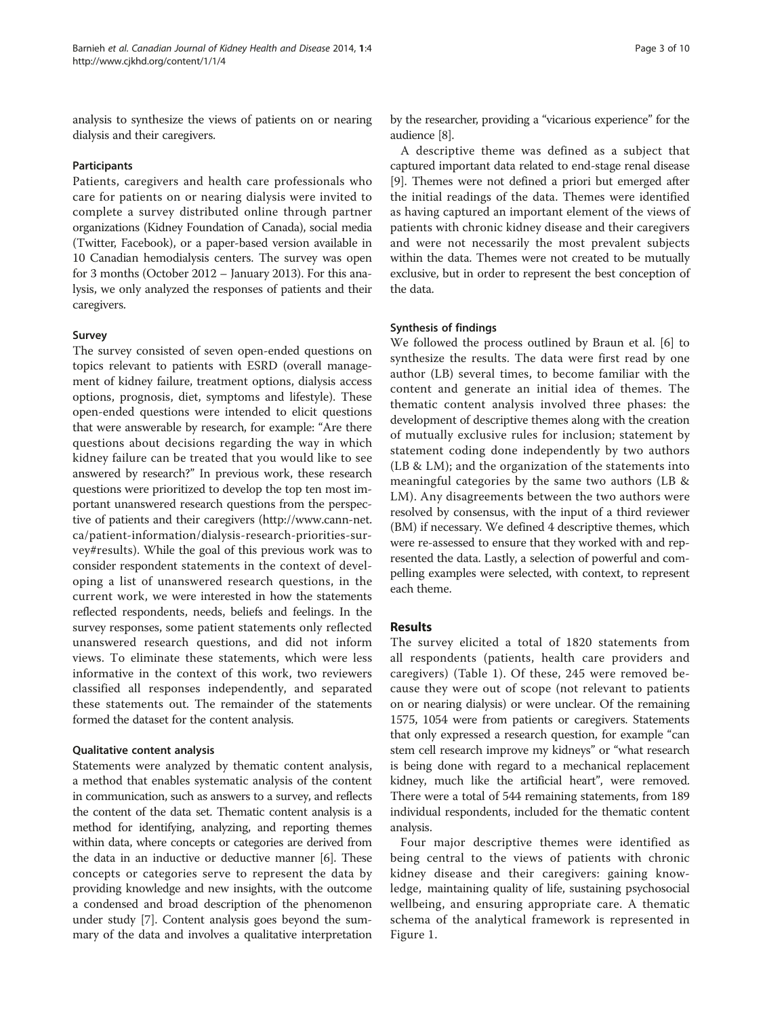analysis to synthesize the views of patients on or nearing dialysis and their caregivers.

#### Participants

Patients, caregivers and health care professionals who care for patients on or nearing dialysis were invited to complete a survey distributed online through partner organizations (Kidney Foundation of Canada), social media (Twitter, Facebook), or a paper-based version available in 10 Canadian hemodialysis centers. The survey was open for 3 months (October 2012 – January 2013). For this analysis, we only analyzed the responses of patients and their caregivers.

#### Survey

The survey consisted of seven open-ended questions on topics relevant to patients with ESRD (overall management of kidney failure, treatment options, dialysis access options, prognosis, diet, symptoms and lifestyle). These open-ended questions were intended to elicit questions that were answerable by research, for example: "Are there questions about decisions regarding the way in which kidney failure can be treated that you would like to see answered by research?" In previous work, these research questions were prioritized to develop the top ten most important unanswered research questions from the perspective of patients and their caregivers [\(http://www.cann-net.](http://www.cann-net.ca/patient-information/dialysis-research-priorities-survey#results) [ca/patient-information/dialysis-research-priorities-sur](http://www.cann-net.ca/patient-information/dialysis-research-priorities-survey#results)[vey#results\)](http://www.cann-net.ca/patient-information/dialysis-research-priorities-survey#results). While the goal of this previous work was to consider respondent statements in the context of developing a list of unanswered research questions, in the current work, we were interested in how the statements reflected respondents, needs, beliefs and feelings. In the survey responses, some patient statements only reflected unanswered research questions, and did not inform views. To eliminate these statements, which were less informative in the context of this work, two reviewers classified all responses independently, and separated these statements out. The remainder of the statements formed the dataset for the content analysis.

#### Qualitative content analysis

Statements were analyzed by thematic content analysis, a method that enables systematic analysis of the content in communication, such as answers to a survey, and reflects the content of the data set. Thematic content analysis is a method for identifying, analyzing, and reporting themes within data, where concepts or categories are derived from the data in an inductive or deductive manner [[6](#page-8-0)]. These concepts or categories serve to represent the data by providing knowledge and new insights, with the outcome a condensed and broad description of the phenomenon under study [\[7\]](#page-8-0). Content analysis goes beyond the summary of the data and involves a qualitative interpretation by the researcher, providing a "vicarious experience" for the audience [\[8\]](#page-8-0).

A descriptive theme was defined as a subject that captured important data related to end-stage renal disease [[9\]](#page-8-0). Themes were not defined a priori but emerged after the initial readings of the data. Themes were identified as having captured an important element of the views of patients with chronic kidney disease and their caregivers and were not necessarily the most prevalent subjects within the data. Themes were not created to be mutually exclusive, but in order to represent the best conception of the data.

#### Synthesis of findings

We followed the process outlined by Braun et al. [\[6](#page-8-0)] to synthesize the results. The data were first read by one author (LB) several times, to become familiar with the content and generate an initial idea of themes. The thematic content analysis involved three phases: the development of descriptive themes along with the creation of mutually exclusive rules for inclusion; statement by statement coding done independently by two authors (LB & LM); and the organization of the statements into meaningful categories by the same two authors (LB & LM). Any disagreements between the two authors were resolved by consensus, with the input of a third reviewer (BM) if necessary. We defined 4 descriptive themes, which were re-assessed to ensure that they worked with and represented the data. Lastly, a selection of powerful and compelling examples were selected, with context, to represent each theme.

#### Results

The survey elicited a total of 1820 statements from all respondents (patients, health care providers and caregivers) (Table [1\)](#page-3-0). Of these, 245 were removed because they were out of scope (not relevant to patients on or nearing dialysis) or were unclear. Of the remaining 1575, 1054 were from patients or caregivers. Statements that only expressed a research question, for example "can stem cell research improve my kidneys" or "what research is being done with regard to a mechanical replacement kidney, much like the artificial heart", were removed. There were a total of 544 remaining statements, from 189 individual respondents, included for the thematic content analysis.

Four major descriptive themes were identified as being central to the views of patients with chronic kidney disease and their caregivers: gaining knowledge, maintaining quality of life, sustaining psychosocial wellbeing, and ensuring appropriate care. A thematic schema of the analytical framework is represented in Figure [1](#page-4-0).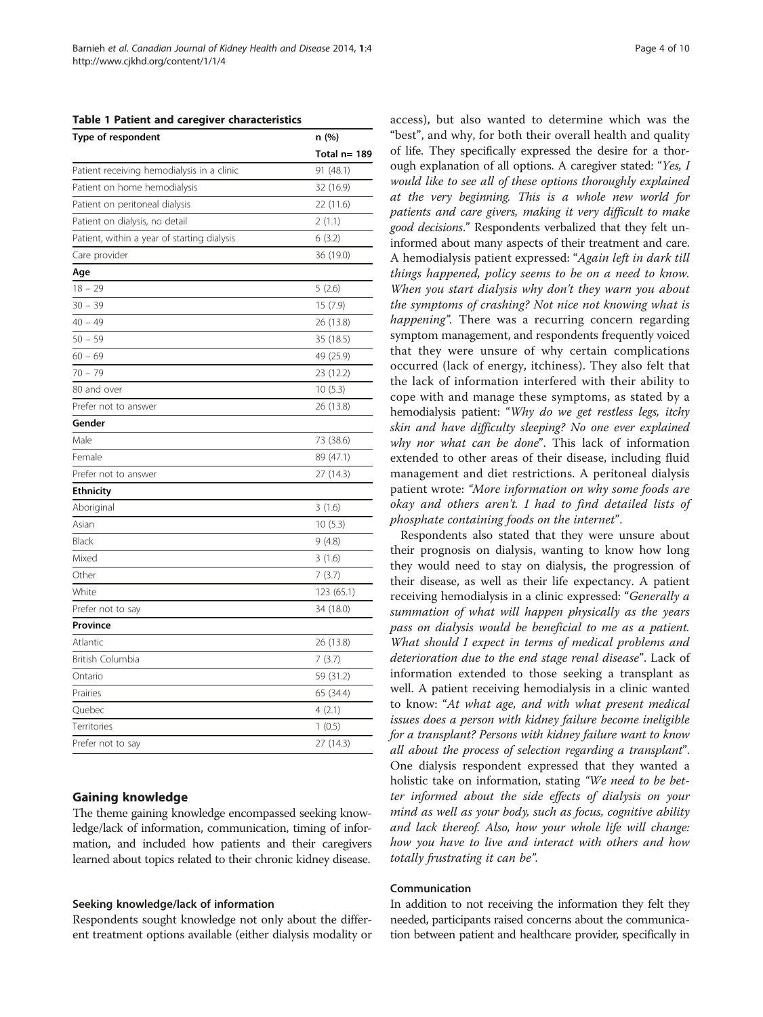#### <span id="page-3-0"></span>Table 1 Patient and caregiver characteristics

| Type of respondent                          | n (%)<br>Total n= 189 |
|---------------------------------------------|-----------------------|
|                                             |                       |
| Patient on home hemodialysis                | 32 (16.9)             |
| Patient on peritoneal dialysis              | 22 (11.6)             |
| Patient on dialysis, no detail              | 2(1.1)                |
| Patient, within a year of starting dialysis | 6(3.2)                |
| Care provider                               | 36 (19.0)             |
| Age                                         |                       |
| $18 - 29$                                   | 5(2.6)                |
| $30 - 39$                                   | 15 (7.9)              |
| $40 - 49$                                   | 26 (13.8)             |
| $50 - 59$                                   | 35 (18.5)             |
| $60 - 69$                                   | 49 (25.9)             |
| $70 - 79$                                   | 23 (12.2)             |
| 80 and over                                 | 10(5.3)               |
| Prefer not to answer                        | 26 (13.8)             |
| Gender                                      |                       |
| Male                                        | 73 (38.6)             |
| Female                                      | 89 (47.1)             |
| Prefer not to answer                        | 27 (14.3)             |
| <b>Ethnicity</b>                            |                       |
| Aboriginal                                  | 3(1.6)                |
| Asian                                       | 10(5.3)               |
| Black                                       | 9(4.8)                |
| Mixed                                       | 3(1.6)                |
| Other                                       | 7(3.7)                |
| White                                       | 123 (65.1)            |
| Prefer not to say                           | 34 (18.0)             |
| Province                                    |                       |
| Atlantic                                    | 26 (13.8)             |
| British Columbia                            | 7(3.7)                |
| Ontario                                     | 59 (31.2)             |
| Prairies                                    | 65 (34.4)             |
| Quebec                                      | 4(2.1)                |
| Territories                                 | 1(0.5)                |
| Prefer not to say                           | 27 (14.3)             |
|                                             |                       |

#### Gaining knowledge

The theme gaining knowledge encompassed seeking knowledge/lack of information, communication, timing of information, and included how patients and their caregivers learned about topics related to their chronic kidney disease.

#### Seeking knowledge/lack of information

Respondents sought knowledge not only about the different treatment options available (either dialysis modality or access), but also wanted to determine which was the "best", and why, for both their overall health and quality of life. They specifically expressed the desire for a thorough explanation of all options. A caregiver stated: "Yes, I would like to see all of these options thoroughly explained at the very beginning. This is a whole new world for patients and care givers, making it very difficult to make good decisions." Respondents verbalized that they felt uninformed about many aspects of their treatment and care. A hemodialysis patient expressed: "Again left in dark till things happened, policy seems to be on a need to know. When you start dialysis why don't they warn you about the symptoms of crashing? Not nice not knowing what is happening". There was a recurring concern regarding symptom management, and respondents frequently voiced that they were unsure of why certain complications occurred (lack of energy, itchiness). They also felt that the lack of information interfered with their ability to cope with and manage these symptoms, as stated by a hemodialysis patient: "Why do we get restless legs, itchy skin and have difficulty sleeping? No one ever explained why nor what can be done". This lack of information extended to other areas of their disease, including fluid management and diet restrictions. A peritoneal dialysis patient wrote: "More information on why some foods are okay and others aren't. I had to find detailed lists of phosphate containing foods on the internet".

Respondents also stated that they were unsure about their prognosis on dialysis, wanting to know how long they would need to stay on dialysis, the progression of their disease, as well as their life expectancy. A patient receiving hemodialysis in a clinic expressed: "Generally a summation of what will happen physically as the years pass on dialysis would be beneficial to me as a patient. What should I expect in terms of medical problems and deterioration due to the end stage renal disease". Lack of information extended to those seeking a transplant as well. A patient receiving hemodialysis in a clinic wanted to know: "At what age, and with what present medical issues does a person with kidney failure become ineligible for a transplant? Persons with kidney failure want to know all about the process of selection regarding a transplant". One dialysis respondent expressed that they wanted a holistic take on information, stating "We need to be better informed about the side effects of dialysis on your mind as well as your body, such as focus, cognitive ability and lack thereof. Also, how your whole life will change: how you have to live and interact with others and how totally frustrating it can be".

# Communication

In addition to not receiving the information they felt they needed, participants raised concerns about the communication between patient and healthcare provider, specifically in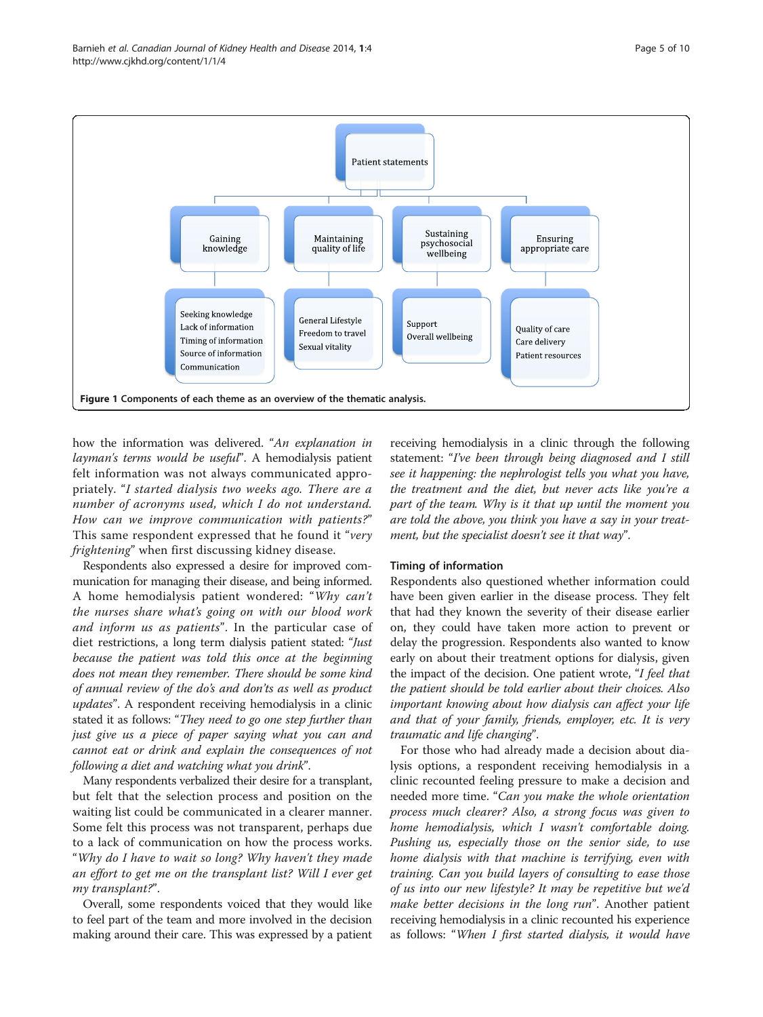<span id="page-4-0"></span>

how the information was delivered. "An explanation in layman's terms would be useful". A hemodialysis patient felt information was not always communicated appropriately. "I started dialysis two weeks ago. There are a number of acronyms used, which I do not understand. How can we improve communication with patients?" This same respondent expressed that he found it "very frightening" when first discussing kidney disease.

Respondents also expressed a desire for improved communication for managing their disease, and being informed. A home hemodialysis patient wondered: "Why can't the nurses share what's going on with our blood work and inform us as patients". In the particular case of diet restrictions, a long term dialysis patient stated: "Just because the patient was told this once at the beginning does not mean they remember. There should be some kind of annual review of the do's and don'ts as well as product updates". A respondent receiving hemodialysis in a clinic stated it as follows: "They need to go one step further than just give us a piece of paper saying what you can and cannot eat or drink and explain the consequences of not following a diet and watching what you drink".

Many respondents verbalized their desire for a transplant, but felt that the selection process and position on the waiting list could be communicated in a clearer manner. Some felt this process was not transparent, perhaps due to a lack of communication on how the process works. "Why do I have to wait so long? Why haven't they made an effort to get me on the transplant list? Will I ever get my transplant?".

Overall, some respondents voiced that they would like to feel part of the team and more involved in the decision making around their care. This was expressed by a patient

receiving hemodialysis in a clinic through the following statement: "I've been through being diagnosed and I still see it happening: the nephrologist tells you what you have, the treatment and the diet, but never acts like you're a part of the team. Why is it that up until the moment you are told the above, you think you have a say in your treatment, but the specialist doesn't see it that way".

#### Timing of information

Respondents also questioned whether information could have been given earlier in the disease process. They felt that had they known the severity of their disease earlier on, they could have taken more action to prevent or delay the progression. Respondents also wanted to know early on about their treatment options for dialysis, given the impact of the decision. One patient wrote, "I feel that the patient should be told earlier about their choices. Also important knowing about how dialysis can affect your life and that of your family, friends, employer, etc. It is very traumatic and life changing".

For those who had already made a decision about dialysis options, a respondent receiving hemodialysis in a clinic recounted feeling pressure to make a decision and needed more time. "Can you make the whole orientation process much clearer? Also, a strong focus was given to home hemodialysis, which I wasn't comfortable doing. Pushing us, especially those on the senior side, to use home dialysis with that machine is terrifying, even with training. Can you build layers of consulting to ease those of us into our new lifestyle? It may be repetitive but we'd make better decisions in the long run". Another patient receiving hemodialysis in a clinic recounted his experience as follows: "When I first started dialysis, it would have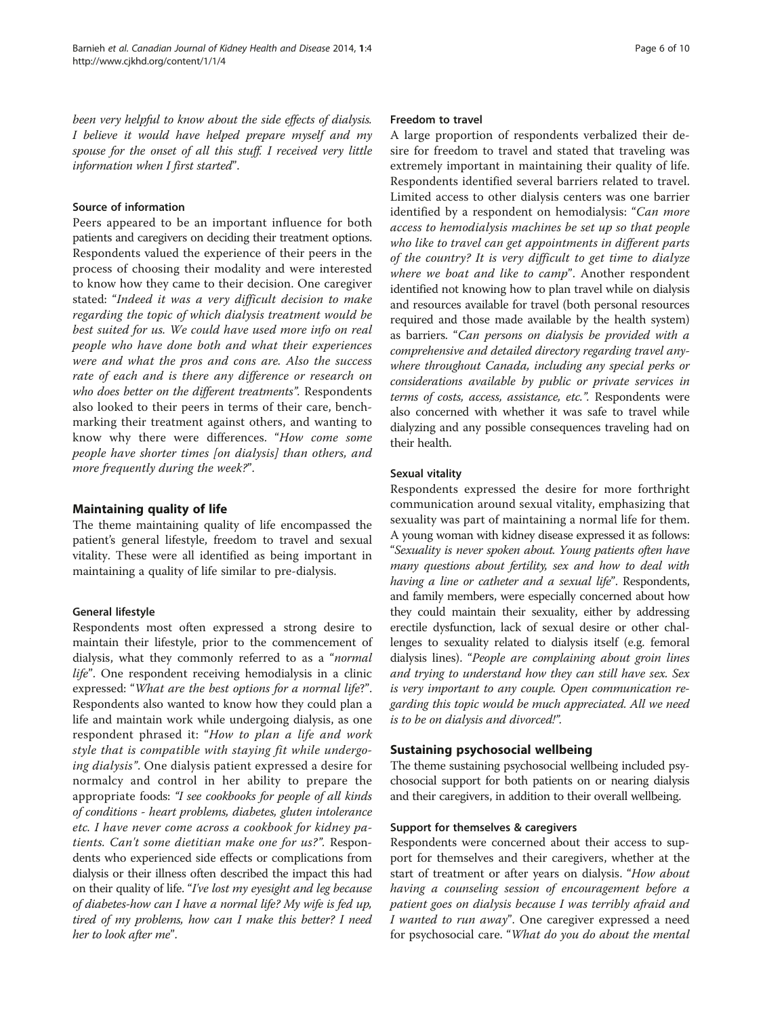been very helpful to know about the side effects of dialysis. I believe it would have helped prepare myself and my spouse for the onset of all this stuff. I received very little information when I first started".

# Source of information

Peers appeared to be an important influence for both patients and caregivers on deciding their treatment options. Respondents valued the experience of their peers in the process of choosing their modality and were interested to know how they came to their decision. One caregiver stated: "Indeed it was a very difficult decision to make regarding the topic of which dialysis treatment would be best suited for us. We could have used more info on real people who have done both and what their experiences were and what the pros and cons are. Also the success rate of each and is there any difference or research on who does better on the different treatments". Respondents also looked to their peers in terms of their care, benchmarking their treatment against others, and wanting to know why there were differences. "How come some people have shorter times [on dialysis] than others, and more frequently during the week?".

#### Maintaining quality of life

The theme maintaining quality of life encompassed the patient's general lifestyle, freedom to travel and sexual vitality. These were all identified as being important in maintaining a quality of life similar to pre-dialysis.

#### General lifestyle

Respondents most often expressed a strong desire to maintain their lifestyle, prior to the commencement of dialysis, what they commonly referred to as a "normal life". One respondent receiving hemodialysis in a clinic expressed: "What are the best options for a normal life?". Respondents also wanted to know how they could plan a life and maintain work while undergoing dialysis, as one respondent phrased it: "How to plan a life and work style that is compatible with staying fit while undergoing dialysis". One dialysis patient expressed a desire for normalcy and control in her ability to prepare the appropriate foods: "I see cookbooks for people of all kinds of conditions - heart problems, diabetes, gluten intolerance etc. I have never come across a cookbook for kidney patients. Can't some dietitian make one for us?". Respondents who experienced side effects or complications from dialysis or their illness often described the impact this had on their quality of life. "I've lost my eyesight and leg because of diabetes-how can I have a normal life? My wife is fed up, tired of my problems, how can I make this better? I need her to look after me".

#### Freedom to travel

A large proportion of respondents verbalized their desire for freedom to travel and stated that traveling was extremely important in maintaining their quality of life. Respondents identified several barriers related to travel. Limited access to other dialysis centers was one barrier identified by a respondent on hemodialysis: "Can more access to hemodialysis machines be set up so that people who like to travel can get appointments in different parts of the country? It is very difficult to get time to dialyze where we boat and like to camp". Another respondent identified not knowing how to plan travel while on dialysis and resources available for travel (both personal resources required and those made available by the health system) as barriers. "Can persons on dialysis be provided with a comprehensive and detailed directory regarding travel anywhere throughout Canada, including any special perks or considerations available by public or private services in terms of costs, access, assistance, etc.". Respondents were also concerned with whether it was safe to travel while dialyzing and any possible consequences traveling had on their health.

#### Sexual vitality

Respondents expressed the desire for more forthright communication around sexual vitality, emphasizing that sexuality was part of maintaining a normal life for them. A young woman with kidney disease expressed it as follows: "Sexuality is never spoken about. Young patients often have many questions about fertility, sex and how to deal with having a line or catheter and a sexual life". Respondents, and family members, were especially concerned about how they could maintain their sexuality, either by addressing erectile dysfunction, lack of sexual desire or other challenges to sexuality related to dialysis itself (e.g. femoral dialysis lines). "People are complaining about groin lines and trying to understand how they can still have sex. Sex is very important to any couple. Open communication regarding this topic would be much appreciated. All we need is to be on dialysis and divorced!".

#### Sustaining psychosocial wellbeing

The theme sustaining psychosocial wellbeing included psychosocial support for both patients on or nearing dialysis and their caregivers, in addition to their overall wellbeing.

# Support for themselves & caregivers

Respondents were concerned about their access to support for themselves and their caregivers, whether at the start of treatment or after years on dialysis. "How about having a counseling session of encouragement before a patient goes on dialysis because I was terribly afraid and I wanted to run away". One caregiver expressed a need for psychosocial care. "What do you do about the mental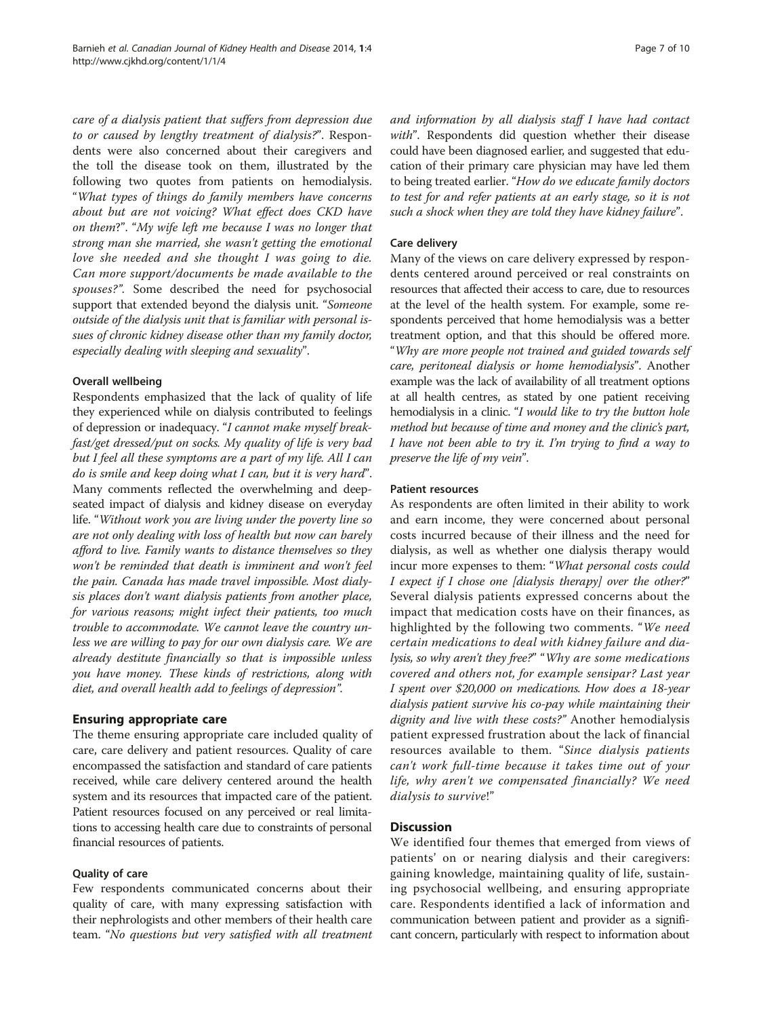care of a dialysis patient that suffers from depression due to or caused by lengthy treatment of dialysis?". Respondents were also concerned about their caregivers and the toll the disease took on them, illustrated by the following two quotes from patients on hemodialysis. "What types of things do family members have concerns about but are not voicing? What effect does CKD have on them?". "My wife left me because I was no longer that strong man she married, she wasn't getting the emotional love she needed and she thought I was going to die. Can more support/documents be made available to the spouses?". Some described the need for psychosocial support that extended beyond the dialysis unit. "Someone outside of the dialysis unit that is familiar with personal issues of chronic kidney disease other than my family doctor, especially dealing with sleeping and sexuality".

# Overall wellbeing

Respondents emphasized that the lack of quality of life they experienced while on dialysis contributed to feelings of depression or inadequacy. "I cannot make myself breakfast/get dressed/put on socks. My quality of life is very bad but I feel all these symptoms are a part of my life. All I can do is smile and keep doing what I can, but it is very hard". Many comments reflected the overwhelming and deepseated impact of dialysis and kidney disease on everyday life. "Without work you are living under the poverty line so are not only dealing with loss of health but now can barely afford to live. Family wants to distance themselves so they won't be reminded that death is imminent and won't feel the pain. Canada has made travel impossible. Most dialysis places don't want dialysis patients from another place, for various reasons; might infect their patients, too much trouble to accommodate. We cannot leave the country unless we are willing to pay for our own dialysis care. We are already destitute financially so that is impossible unless you have money. These kinds of restrictions, along with diet, and overall health add to feelings of depression".

#### Ensuring appropriate care

The theme ensuring appropriate care included quality of care, care delivery and patient resources. Quality of care encompassed the satisfaction and standard of care patients received, while care delivery centered around the health system and its resources that impacted care of the patient. Patient resources focused on any perceived or real limitations to accessing health care due to constraints of personal financial resources of patients.

#### Quality of care

Few respondents communicated concerns about their quality of care, with many expressing satisfaction with their nephrologists and other members of their health care team. "No questions but very satisfied with all treatment and information by all dialysis staff I have had contact with". Respondents did question whether their disease could have been diagnosed earlier, and suggested that education of their primary care physician may have led them to being treated earlier. "How do we educate family doctors to test for and refer patients at an early stage, so it is not such a shock when they are told they have kidney failure".

### Care delivery

Many of the views on care delivery expressed by respondents centered around perceived or real constraints on resources that affected their access to care, due to resources at the level of the health system. For example, some respondents perceived that home hemodialysis was a better treatment option, and that this should be offered more. "Why are more people not trained and guided towards self care, peritoneal dialysis or home hemodialysis". Another example was the lack of availability of all treatment options at all health centres, as stated by one patient receiving hemodialysis in a clinic. "I would like to try the button hole method but because of time and money and the clinic's part, I have not been able to try it. I'm trying to find a way to preserve the life of my vein".

# Patient resources

As respondents are often limited in their ability to work and earn income, they were concerned about personal costs incurred because of their illness and the need for dialysis, as well as whether one dialysis therapy would incur more expenses to them: "What personal costs could I expect if I chose one [dialysis therapy] over the other?" Several dialysis patients expressed concerns about the impact that medication costs have on their finances, as highlighted by the following two comments. "We need certain medications to deal with kidney failure and dialysis, so why aren't they free?" "Why are some medications covered and others not, for example sensipar? Last year I spent over \$20,000 on medications. How does a 18-year dialysis patient survive his co-pay while maintaining their dignity and live with these costs?" Another hemodialysis patient expressed frustration about the lack of financial resources available to them. "Since dialysis patients can't work full-time because it takes time out of your life, why aren't we compensated financially? We need dialysis to survive!"

# **Discussion**

We identified four themes that emerged from views of patients' on or nearing dialysis and their caregivers: gaining knowledge, maintaining quality of life, sustaining psychosocial wellbeing, and ensuring appropriate care. Respondents identified a lack of information and communication between patient and provider as a significant concern, particularly with respect to information about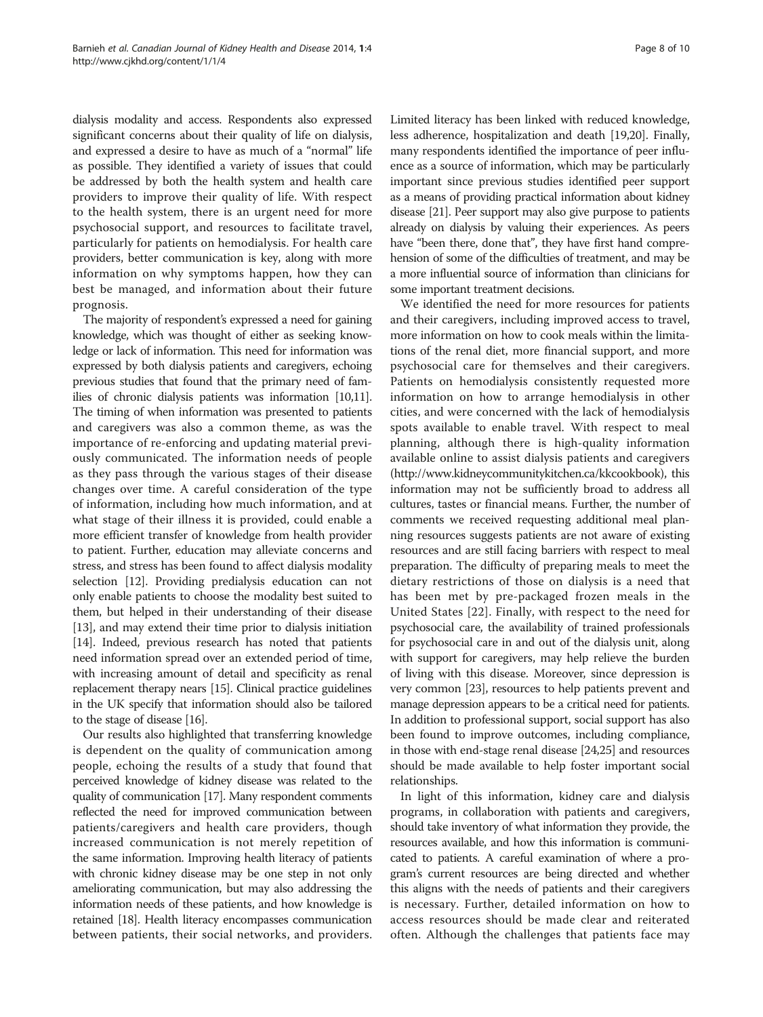dialysis modality and access. Respondents also expressed significant concerns about their quality of life on dialysis, and expressed a desire to have as much of a "normal" life as possible. They identified a variety of issues that could be addressed by both the health system and health care providers to improve their quality of life. With respect to the health system, there is an urgent need for more psychosocial support, and resources to facilitate travel, particularly for patients on hemodialysis. For health care providers, better communication is key, along with more information on why symptoms happen, how they can best be managed, and information about their future prognosis.

The majority of respondent's expressed a need for gaining knowledge, which was thought of either as seeking knowledge or lack of information. This need for information was expressed by both dialysis patients and caregivers, echoing previous studies that found that the primary need of families of chronic dialysis patients was information [[10,11](#page-8-0)]. The timing of when information was presented to patients and caregivers was also a common theme, as was the importance of re-enforcing and updating material previously communicated. The information needs of people as they pass through the various stages of their disease changes over time. A careful consideration of the type of information, including how much information, and at what stage of their illness it is provided, could enable a more efficient transfer of knowledge from health provider to patient. Further, education may alleviate concerns and stress, and stress has been found to affect dialysis modality selection [[12](#page-8-0)]. Providing predialysis education can not only enable patients to choose the modality best suited to them, but helped in their understanding of their disease [[13](#page-8-0)], and may extend their time prior to dialysis initiation [[14](#page-8-0)]. Indeed, previous research has noted that patients need information spread over an extended period of time, with increasing amount of detail and specificity as renal replacement therapy nears [\[15\]](#page-8-0). Clinical practice guidelines in the UK specify that information should also be tailored to the stage of disease [[16\]](#page-8-0).

Our results also highlighted that transferring knowledge is dependent on the quality of communication among people, echoing the results of a study that found that perceived knowledge of kidney disease was related to the quality of communication [\[17](#page-9-0)]. Many respondent comments reflected the need for improved communication between patients/caregivers and health care providers, though increased communication is not merely repetition of the same information. Improving health literacy of patients with chronic kidney disease may be one step in not only ameliorating communication, but may also addressing the information needs of these patients, and how knowledge is retained [\[18](#page-9-0)]. Health literacy encompasses communication between patients, their social networks, and providers. Limited literacy has been linked with reduced knowledge, less adherence, hospitalization and death [[19,20](#page-9-0)]. Finally, many respondents identified the importance of peer influence as a source of information, which may be particularly important since previous studies identified peer support as a means of providing practical information about kidney disease [[21](#page-9-0)]. Peer support may also give purpose to patients already on dialysis by valuing their experiences. As peers have "been there, done that", they have first hand comprehension of some of the difficulties of treatment, and may be a more influential source of information than clinicians for some important treatment decisions.

We identified the need for more resources for patients and their caregivers, including improved access to travel, more information on how to cook meals within the limitations of the renal diet, more financial support, and more psychosocial care for themselves and their caregivers. Patients on hemodialysis consistently requested more information on how to arrange hemodialysis in other cities, and were concerned with the lack of hemodialysis spots available to enable travel. With respect to meal planning, although there is high-quality information available online to assist dialysis patients and caregivers ([http://www.kidneycommunitykitchen.ca/kkcookbook\)](http://www.kidneycommunitykitchen.ca/kkcookbook), this information may not be sufficiently broad to address all cultures, tastes or financial means. Further, the number of comments we received requesting additional meal planning resources suggests patients are not aware of existing resources and are still facing barriers with respect to meal preparation. The difficulty of preparing meals to meet the dietary restrictions of those on dialysis is a need that has been met by pre-packaged frozen meals in the United States [[22](#page-9-0)]. Finally, with respect to the need for psychosocial care, the availability of trained professionals for psychosocial care in and out of the dialysis unit, along with support for caregivers, may help relieve the burden of living with this disease. Moreover, since depression is very common [\[23\]](#page-9-0), resources to help patients prevent and manage depression appears to be a critical need for patients. In addition to professional support, social support has also been found to improve outcomes, including compliance, in those with end-stage renal disease [\[24,25\]](#page-9-0) and resources should be made available to help foster important social relationships.

In light of this information, kidney care and dialysis programs, in collaboration with patients and caregivers, should take inventory of what information they provide, the resources available, and how this information is communicated to patients. A careful examination of where a program's current resources are being directed and whether this aligns with the needs of patients and their caregivers is necessary. Further, detailed information on how to access resources should be made clear and reiterated often. Although the challenges that patients face may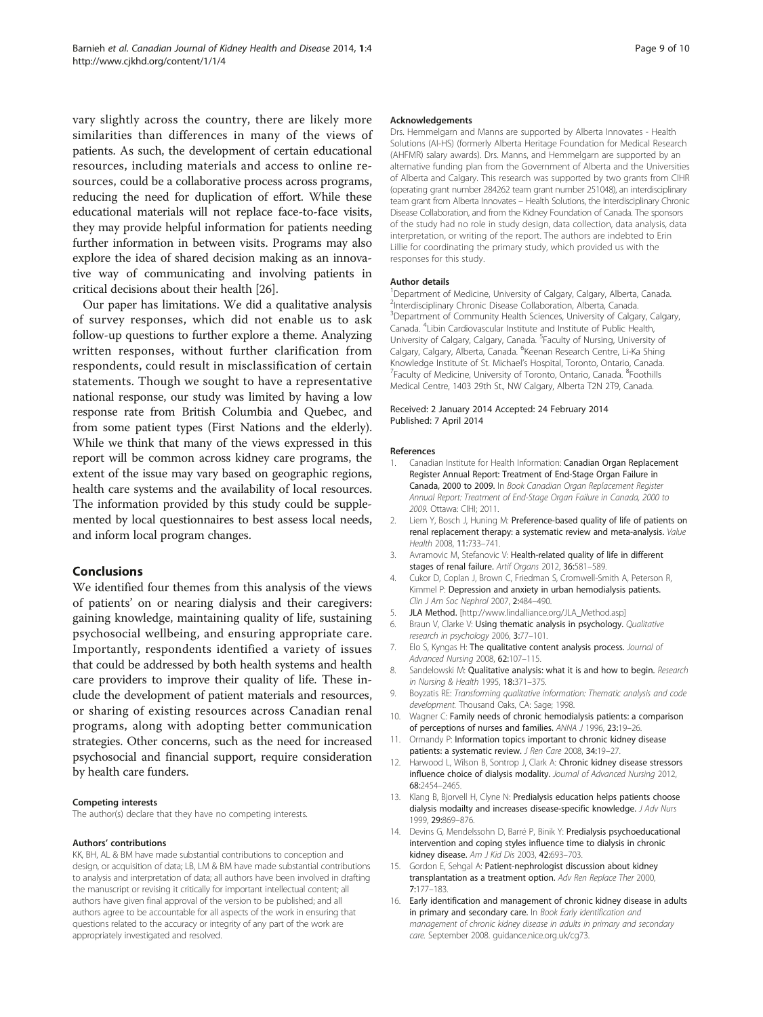<span id="page-8-0"></span>vary slightly across the country, there are likely more similarities than differences in many of the views of patients. As such, the development of certain educational resources, including materials and access to online resources, could be a collaborative process across programs, reducing the need for duplication of effort. While these educational materials will not replace face-to-face visits, they may provide helpful information for patients needing further information in between visits. Programs may also explore the idea of shared decision making as an innovative way of communicating and involving patients in critical decisions about their health [\[26](#page-9-0)].

Our paper has limitations. We did a qualitative analysis of survey responses, which did not enable us to ask follow-up questions to further explore a theme. Analyzing written responses, without further clarification from respondents, could result in misclassification of certain statements. Though we sought to have a representative national response, our study was limited by having a low response rate from British Columbia and Quebec, and from some patient types (First Nations and the elderly). While we think that many of the views expressed in this report will be common across kidney care programs, the extent of the issue may vary based on geographic regions, health care systems and the availability of local resources. The information provided by this study could be supplemented by local questionnaires to best assess local needs, and inform local program changes.

#### Conclusions

We identified four themes from this analysis of the views of patients' on or nearing dialysis and their caregivers: gaining knowledge, maintaining quality of life, sustaining psychosocial wellbeing, and ensuring appropriate care. Importantly, respondents identified a variety of issues that could be addressed by both health systems and health care providers to improve their quality of life. These include the development of patient materials and resources, or sharing of existing resources across Canadian renal programs, along with adopting better communication strategies. Other concerns, such as the need for increased psychosocial and financial support, require consideration by health care funders.

#### Competing interests

The author(s) declare that they have no competing interests.

#### Authors' contributions

KK, BH, AL & BM have made substantial contributions to conception and design, or acquisition of data; LB, LM & BM have made substantial contributions to analysis and interpretation of data; all authors have been involved in drafting the manuscript or revising it critically for important intellectual content; all authors have given final approval of the version to be published; and all authors agree to be accountable for all aspects of the work in ensuring that questions related to the accuracy or integrity of any part of the work are appropriately investigated and resolved.

#### Acknowledgements

Drs. Hemmelgarn and Manns are supported by Alberta Innovates - Health Solutions (AI-HS) (formerly Alberta Heritage Foundation for Medical Research (AHFMR) salary awards). Drs. Manns, and Hemmelgarn are supported by an alternative funding plan from the Government of Alberta and the Universities of Alberta and Calgary. This research was supported by two grants from CIHR (operating grant number 284262 team grant number 251048), an interdisciplinary team grant from Alberta Innovates – Health Solutions, the Interdisciplinary Chronic Disease Collaboration, and from the Kidney Foundation of Canada. The sponsors of the study had no role in study design, data collection, data analysis, data interpretation, or writing of the report. The authors are indebted to Erin Lillie for coordinating the primary study, which provided us with the responses for this study.

#### Author details

<sup>1</sup> Department of Medicine, University of Calgary, Calgary, Alberta, Canada. 2 Interdisciplinary Chronic Disease Collaboration, Alberta, Canada. <sup>3</sup>Department of Community Health Sciences, University of Calgary, Calgary, Canada. <sup>4</sup> Libin Cardiovascular Institute and Institute of Public Health, University of Calgary, Calgary, Canada. <sup>5</sup> Faculty of Nursing, University of Calgary, Calgary, Alberta, Canada. <sup>6</sup>Keenan Research Centre, Li-Ka Shing Knowledge Institute of St. Michael's Hospital, Toronto, Ontario, Canada. <sup>7</sup> Faculty of Medicine, University of Toronto, Ontario, Canada. <sup>8</sup>Foothills Medical Centre, 1403 29th St., NW Calgary, Alberta T2N 2T9, Canada.

#### Received: 2 January 2014 Accepted: 24 February 2014 Published: 7 April 2014

#### References

- 1. Canadian Institute for Health Information: Canadian Organ Replacement Register Annual Report: Treatment of End-Stage Organ Failure in Canada, 2000 to 2009. In Book Canadian Organ Replacement Register Annual Report: Treatment of End-Stage Organ Failure in Canada, 2000 to 2009. Ottawa: CIHI; 2011.
- 2. Liem Y, Bosch J, Huning M: Preference-based quality of life of patients on renal replacement therapy: a systematic review and meta-analysis. Value Health 2008, 11:733–741.
- 3. Avramovic M, Stefanovic V: Health-related quality of life in different stages of renal failure. Artif Organs 2012, 36:581–589.
- 4. Cukor D, Coplan J, Brown C, Friedman S, Cromwell-Smith A, Peterson R, Kimmel P: Depression and anxiety in urban hemodialysis patients. Clin J Am Soc Nephrol 2007, 2:484–490.
- 5. JLA Method. [[http://www.lindalliance.org/JLA\\_Method.asp](http://www.lindalliance.org/JLA_Method.asp)]
- 6. Braun V, Clarke V: Using thematic analysis in psychology. Qualitative research in psychology 2006, 3:77–101.
- 7. Elo S, Kyngas H: The qualitative content analysis process. Journal of Advanced Nursing 2008, 62:107–115.
- Sandelowski M: Qualitative analysis: what it is and how to begin. Research in Nursing & Health 1995, 18:371–375.
- 9. Boyzatis RE: Transforming qualitative information: Thematic analysis and code development. Thousand Oaks, CA: Sage; 1998.
- 10. Wagner C: Family needs of chronic hemodialysis patients: a comparison of perceptions of nurses and families. ANNA J 1996, 23:19–26.
- 11. Ormandy P: Information topics important to chronic kidney disease patients: a systematic review. J Ren Care 2008, 34:19-27.
- 12. Harwood L, Wilson B, Sontrop J, Clark A: Chronic kidney disease stressors influence choice of dialysis modality. Journal of Advanced Nursing 2012, 68:2454–2465.
- 13. Klang B, Bjorvell H, Clyne N: Predialysis education helps patients choose dialysis modailty and increases disease-specific knowledge. J Adv Nurs 1999, 29:869–876.
- 14. Devins G, Mendelssohn D, Barré P, Binik Y: Predialysis psychoeducational intervention and coping styles influence time to dialysis in chronic kidney disease. Am J Kid Dis 2003, 42:693–703.
- 15. Gordon E, Sehgal A: Patient-nephrologist discussion about kidney transplantation as a treatment option. Adv Ren Replace Ther 2000, 7:177–183.
- 16. Early identification and management of chronic kidney disease in adults in primary and secondary care. In Book Early identification and management of chronic kidney disease in adults in primary and secondary care. September 2008. [guidance.nice.org.uk/cg73](http://guidance.nice.org.uk/cg73).